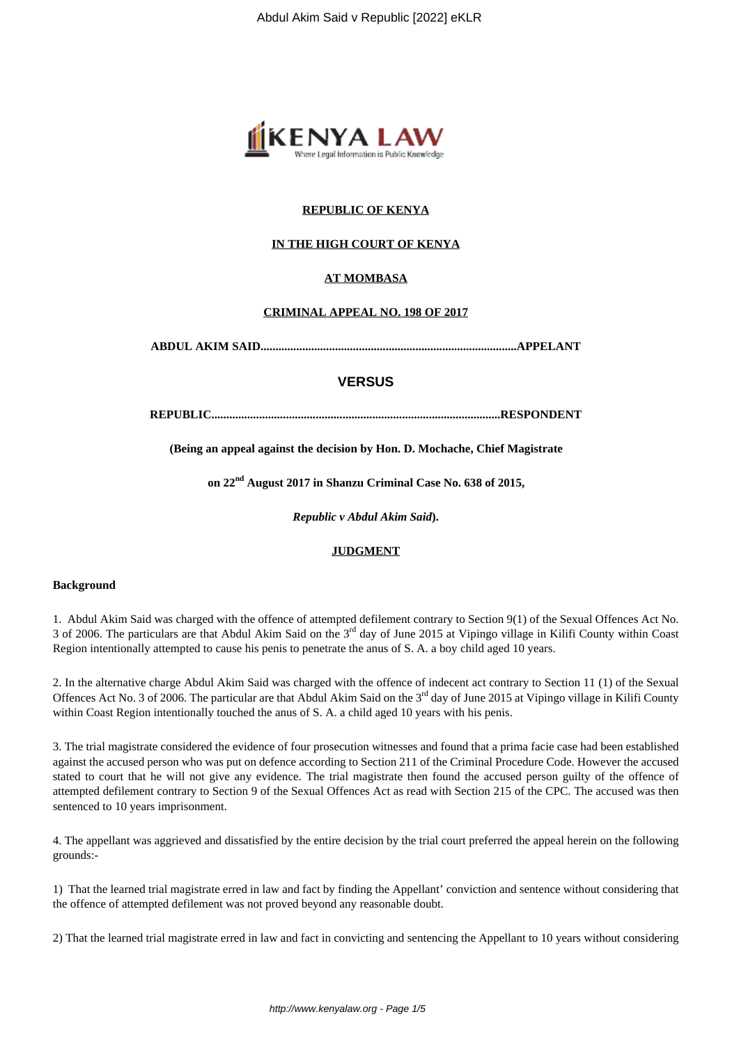

# **REPUBLIC OF KENYA**

## **IN THE HIGH COURT OF KENYA**

## **AT MOMBASA**

## **CRIMINAL APPEAL NO. 198 OF 2017**

**ABDUL AKIM SAID......................................................................................APPELANT**

# **VERSUS**

**REPUBLIC.................................................................................................RESPONDENT**

**(Being an appeal against the decision by Hon. D. Mochache, Chief Magistrate**

**on 22nd August 2017 in Shanzu Criminal Case No. 638 of 2015,**

*Republic v Abdul Akim Said***).**

## **JUDGMENT**

#### **Background**

1. Abdul Akim Said was charged with the offence of attempted defilement contrary to Section 9(1) of the Sexual Offences Act No. 3 of 2006. The particulars are that Abdul Akim Said on the 3rd day of June 2015 at Vipingo village in Kilifi County within Coast Region intentionally attempted to cause his penis to penetrate the anus of S. A. a boy child aged 10 years.

2. In the alternative charge Abdul Akim Said was charged with the offence of indecent act contrary to Section 11 (1) of the Sexual Offences Act No. 3 of 2006. The particular are that Abdul Akim Said on the 3<sup>rd</sup> day of June 2015 at Vipingo village in Kilifi County within Coast Region intentionally touched the anus of S. A. a child aged 10 years with his penis.

3. The trial magistrate considered the evidence of four prosecution witnesses and found that a prima facie case had been established against the accused person who was put on defence according to Section 211 of the Criminal Procedure Code. However the accused stated to court that he will not give any evidence. The trial magistrate then found the accused person guilty of the offence of attempted defilement contrary to Section 9 of the Sexual Offences Act as read with Section 215 of the CPC. The accused was then sentenced to 10 years imprisonment.

4. The appellant was aggrieved and dissatisfied by the entire decision by the trial court preferred the appeal herein on the following grounds:-

1) That the learned trial magistrate erred in law and fact by finding the Appellant' conviction and sentence without considering that the offence of attempted defilement was not proved beyond any reasonable doubt.

2) That the learned trial magistrate erred in law and fact in convicting and sentencing the Appellant to 10 years without considering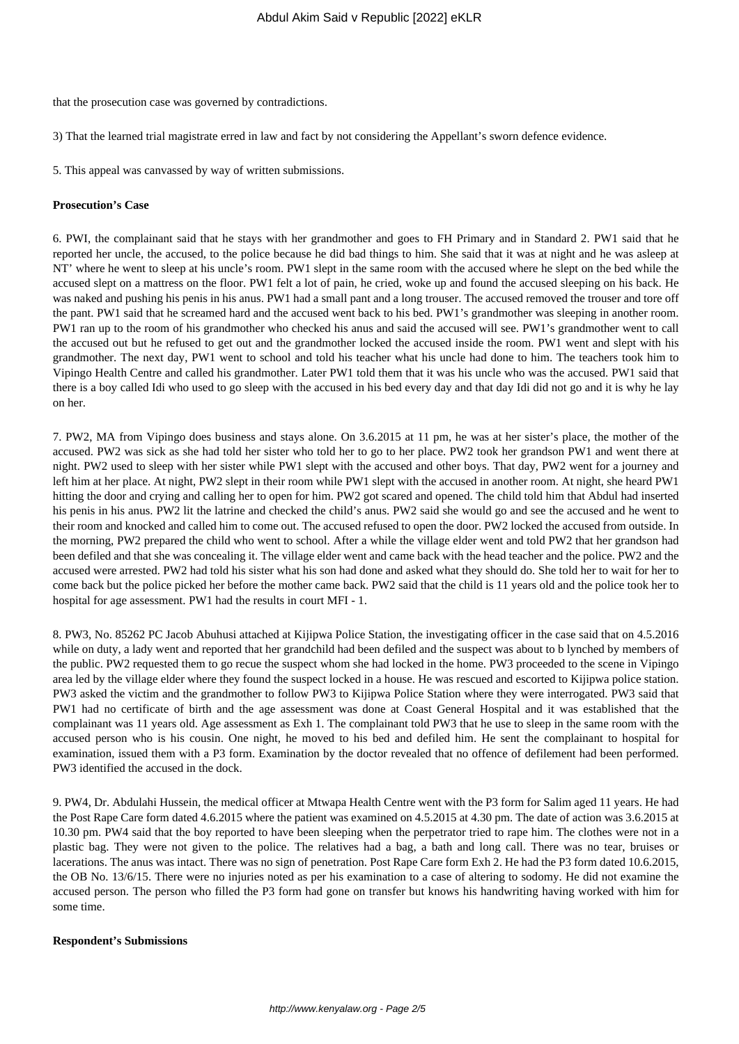that the prosecution case was governed by contradictions.

3) That the learned trial magistrate erred in law and fact by not considering the Appellant's sworn defence evidence.

5. This appeal was canvassed by way of written submissions.

## **Prosecution's Case**

6. PWI, the complainant said that he stays with her grandmother and goes to FH Primary and in Standard 2. PW1 said that he reported her uncle, the accused, to the police because he did bad things to him. She said that it was at night and he was asleep at NT' where he went to sleep at his uncle's room. PW1 slept in the same room with the accused where he slept on the bed while the accused slept on a mattress on the floor. PW1 felt a lot of pain, he cried, woke up and found the accused sleeping on his back. He was naked and pushing his penis in his anus. PW1 had a small pant and a long trouser. The accused removed the trouser and tore off the pant. PW1 said that he screamed hard and the accused went back to his bed. PW1's grandmother was sleeping in another room. PW1 ran up to the room of his grandmother who checked his anus and said the accused will see. PW1's grandmother went to call the accused out but he refused to get out and the grandmother locked the accused inside the room. PW1 went and slept with his grandmother. The next day, PW1 went to school and told his teacher what his uncle had done to him. The teachers took him to Vipingo Health Centre and called his grandmother. Later PW1 told them that it was his uncle who was the accused. PW1 said that there is a boy called Idi who used to go sleep with the accused in his bed every day and that day Idi did not go and it is why he lay on her.

7. PW2, MA from Vipingo does business and stays alone. On 3.6.2015 at 11 pm, he was at her sister's place, the mother of the accused. PW2 was sick as she had told her sister who told her to go to her place. PW2 took her grandson PW1 and went there at night. PW2 used to sleep with her sister while PW1 slept with the accused and other boys. That day, PW2 went for a journey and left him at her place. At night, PW2 slept in their room while PW1 slept with the accused in another room. At night, she heard PW1 hitting the door and crying and calling her to open for him. PW2 got scared and opened. The child told him that Abdul had inserted his penis in his anus. PW2 lit the latrine and checked the child's anus. PW2 said she would go and see the accused and he went to their room and knocked and called him to come out. The accused refused to open the door. PW2 locked the accused from outside. In the morning, PW2 prepared the child who went to school. After a while the village elder went and told PW2 that her grandson had been defiled and that she was concealing it. The village elder went and came back with the head teacher and the police. PW2 and the accused were arrested. PW2 had told his sister what his son had done and asked what they should do. She told her to wait for her to come back but the police picked her before the mother came back. PW2 said that the child is 11 years old and the police took her to hospital for age assessment. PW1 had the results in court MFI - 1.

8. PW3, No. 85262 PC Jacob Abuhusi attached at Kijipwa Police Station, the investigating officer in the case said that on 4.5.2016 while on duty, a lady went and reported that her grandchild had been defiled and the suspect was about to b lynched by members of the public. PW2 requested them to go recue the suspect whom she had locked in the home. PW3 proceeded to the scene in Vipingo area led by the village elder where they found the suspect locked in a house. He was rescued and escorted to Kijipwa police station. PW3 asked the victim and the grandmother to follow PW3 to Kijipwa Police Station where they were interrogated. PW3 said that PW1 had no certificate of birth and the age assessment was done at Coast General Hospital and it was established that the complainant was 11 years old. Age assessment as Exh 1. The complainant told PW3 that he use to sleep in the same room with the accused person who is his cousin. One night, he moved to his bed and defiled him. He sent the complainant to hospital for examination, issued them with a P3 form. Examination by the doctor revealed that no offence of defilement had been performed. PW3 identified the accused in the dock.

9. PW4, Dr. Abdulahi Hussein, the medical officer at Mtwapa Health Centre went with the P3 form for Salim aged 11 years. He had the Post Rape Care form dated 4.6.2015 where the patient was examined on 4.5.2015 at 4.30 pm. The date of action was 3.6.2015 at 10.30 pm. PW4 said that the boy reported to have been sleeping when the perpetrator tried to rape him. The clothes were not in a plastic bag. They were not given to the police. The relatives had a bag, a bath and long call. There was no tear, bruises or lacerations. The anus was intact. There was no sign of penetration. Post Rape Care form Exh 2. He had the P3 form dated 10.6.2015, the OB No. 13/6/15. There were no injuries noted as per his examination to a case of altering to sodomy. He did not examine the accused person. The person who filled the P3 form had gone on transfer but knows his handwriting having worked with him for some time.

#### **Respondent's Submissions**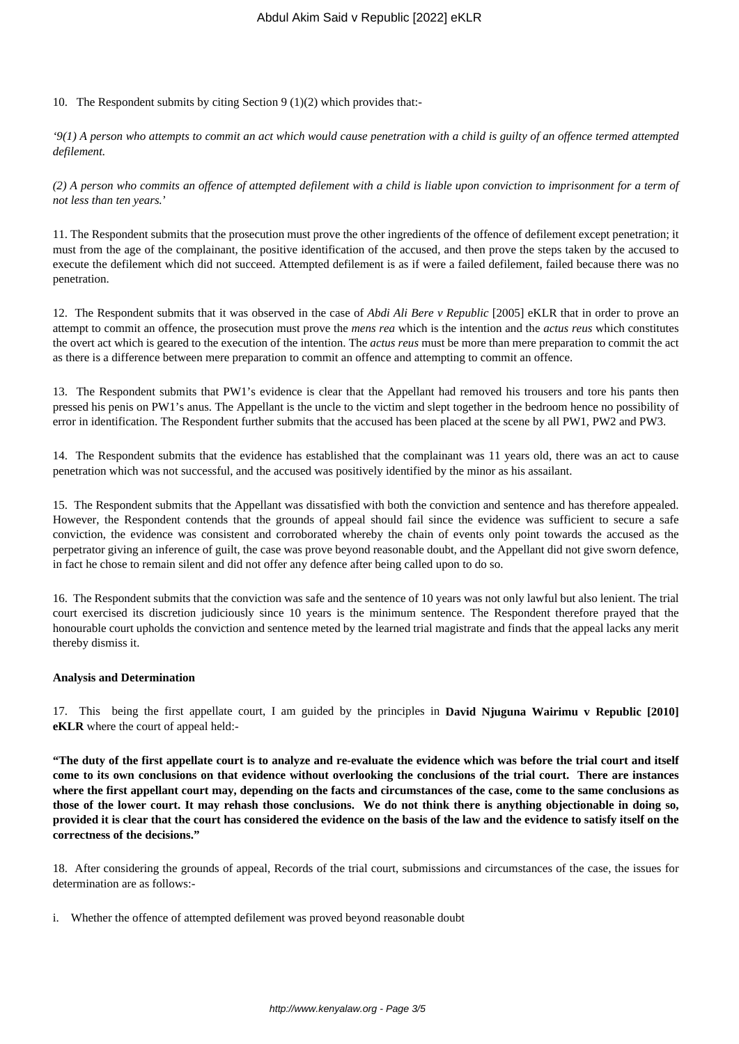10. The Respondent submits by citing Section 9 (1)(2) which provides that:-

*'9(1) A person who attempts to commit an act which would cause penetration with a child is guilty of an offence termed attempted defilement.*

*(2) A person who commits an offence of attempted defilement with a child is liable upon conviction to imprisonment for a term of not less than ten years.*'

11. The Respondent submits that the prosecution must prove the other ingredients of the offence of defilement except penetration; it must from the age of the complainant, the positive identification of the accused, and then prove the steps taken by the accused to execute the defilement which did not succeed. Attempted defilement is as if were a failed defilement, failed because there was no penetration.

12. The Respondent submits that it was observed in the case of *Abdi Ali Bere v Republic* [2005] eKLR that in order to prove an attempt to commit an offence, the prosecution must prove the *mens rea* which is the intention and the *actus reus* which constitutes the overt act which is geared to the execution of the intention. The *actus reus* must be more than mere preparation to commit the act as there is a difference between mere preparation to commit an offence and attempting to commit an offence.

13. The Respondent submits that PW1's evidence is clear that the Appellant had removed his trousers and tore his pants then pressed his penis on PW1's anus. The Appellant is the uncle to the victim and slept together in the bedroom hence no possibility of error in identification. The Respondent further submits that the accused has been placed at the scene by all PW1, PW2 and PW3.

14. The Respondent submits that the evidence has established that the complainant was 11 years old, there was an act to cause penetration which was not successful, and the accused was positively identified by the minor as his assailant.

15. The Respondent submits that the Appellant was dissatisfied with both the conviction and sentence and has therefore appealed. However, the Respondent contends that the grounds of appeal should fail since the evidence was sufficient to secure a safe conviction, the evidence was consistent and corroborated whereby the chain of events only point towards the accused as the perpetrator giving an inference of guilt, the case was prove beyond reasonable doubt, and the Appellant did not give sworn defence, in fact he chose to remain silent and did not offer any defence after being called upon to do so.

16. The Respondent submits that the conviction was safe and the sentence of 10 years was not only lawful but also lenient. The trial court exercised its discretion judiciously since 10 years is the minimum sentence. The Respondent therefore prayed that the honourable court upholds the conviction and sentence meted by the learned trial magistrate and finds that the appeal lacks any merit thereby dismiss it.

#### **Analysis and Determination**

17. This being the first appellate court, I am guided by the principles in **David Njuguna Wairimu v Republic [2010] eKLR** where the court of appeal held:-

**"The duty of the first appellate court is to analyze and re-evaluate the evidence which was before the trial court and itself come to its own conclusions on that evidence without overlooking the conclusions of the trial court. There are instances where the first appellant court may, depending on the facts and circumstances of the case, come to the same conclusions as those of the lower court. It may rehash those conclusions. We do not think there is anything objectionable in doing so, provided it is clear that the court has considered the evidence on the basis of the law and the evidence to satisfy itself on the correctness of the decisions."**

18. After considering the grounds of appeal, Records of the trial court, submissions and circumstances of the case, the issues for determination are as follows:-

i. Whether the offence of attempted defilement was proved beyond reasonable doubt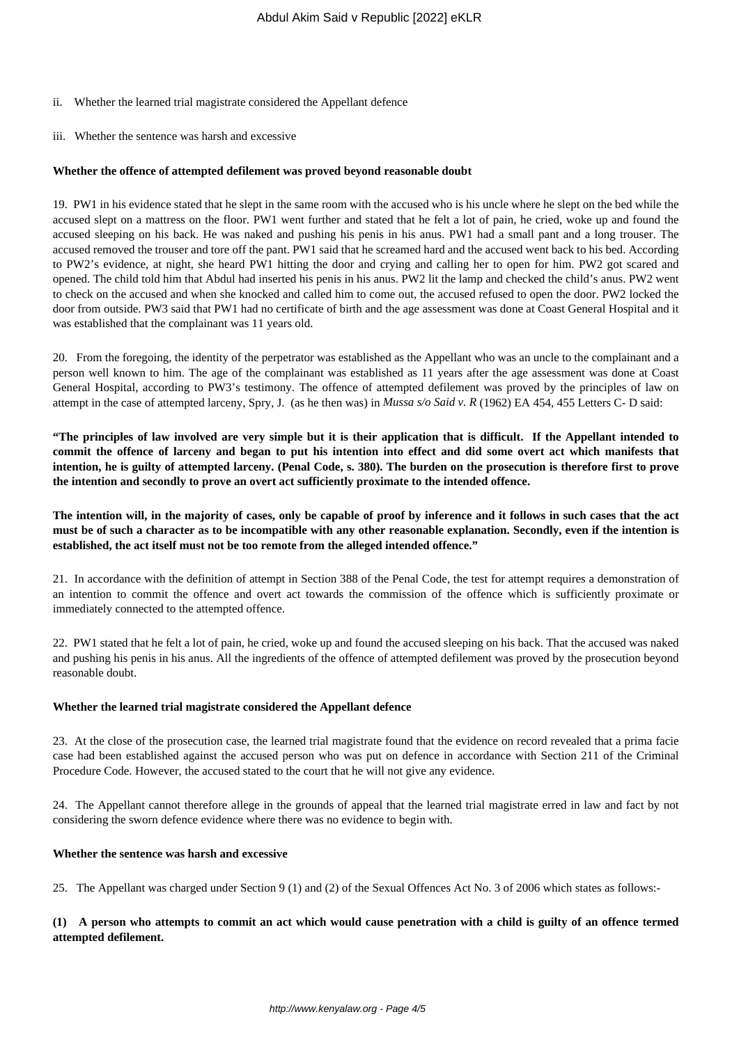- ii. Whether the learned trial magistrate considered the Appellant defence
- iii. Whether the sentence was harsh and excessive

## **Whether the offence of attempted defilement was proved beyond reasonable doubt**

19. PW1 in his evidence stated that he slept in the same room with the accused who is his uncle where he slept on the bed while the accused slept on a mattress on the floor. PW1 went further and stated that he felt a lot of pain, he cried, woke up and found the accused sleeping on his back. He was naked and pushing his penis in his anus. PW1 had a small pant and a long trouser. The accused removed the trouser and tore off the pant. PW1 said that he screamed hard and the accused went back to his bed. According to PW2's evidence, at night, she heard PW1 hitting the door and crying and calling her to open for him. PW2 got scared and opened. The child told him that Abdul had inserted his penis in his anus. PW2 lit the lamp and checked the child's anus. PW2 went to check on the accused and when she knocked and called him to come out, the accused refused to open the door. PW2 locked the door from outside. PW3 said that PW1 had no certificate of birth and the age assessment was done at Coast General Hospital and it was established that the complainant was 11 years old.

20. From the foregoing, the identity of the perpetrator was established as the Appellant who was an uncle to the complainant and a person well known to him. The age of the complainant was established as 11 years after the age assessment was done at Coast General Hospital, according to PW3's testimony. The offence of attempted defilement was proved by the principles of law on attempt in the case of attempted larceny, Spry, J. (as he then was) in *Mussa s/o Said v. R* (1962) EA 454, 455 Letters C- D said:

**"The principles of law involved are very simple but it is their application that is difficult. If the Appellant intended to commit the offence of larceny and began to put his intention into effect and did some overt act which manifests that intention, he is guilty of attempted larceny. (Penal Code, s. 380). The burden on the prosecution is therefore first to prove the intention and secondly to prove an overt act sufficiently proximate to the intended offence.**

**The intention will, in the majority of cases, only be capable of proof by inference and it follows in such cases that the act must be of such a character as to be incompatible with any other reasonable explanation. Secondly, even if the intention is established, the act itself must not be too remote from the alleged intended offence."**

21. In accordance with the definition of attempt in Section 388 of the Penal Code, the test for attempt requires a demonstration of an intention to commit the offence and overt act towards the commission of the offence which is sufficiently proximate or immediately connected to the attempted offence.

22. PW1 stated that he felt a lot of pain, he cried, woke up and found the accused sleeping on his back. That the accused was naked and pushing his penis in his anus. All the ingredients of the offence of attempted defilement was proved by the prosecution beyond reasonable doubt.

#### **Whether the learned trial magistrate considered the Appellant defence**

23. At the close of the prosecution case, the learned trial magistrate found that the evidence on record revealed that a prima facie case had been established against the accused person who was put on defence in accordance with Section 211 of the Criminal Procedure Code. However, the accused stated to the court that he will not give any evidence.

24. The Appellant cannot therefore allege in the grounds of appeal that the learned trial magistrate erred in law and fact by not considering the sworn defence evidence where there was no evidence to begin with.

#### **Whether the sentence was harsh and excessive**

25. The Appellant was charged under Section 9 (1) and (2) of the Sexual Offences Act No. 3 of 2006 which states as follows:-

## **(1) A person who attempts to commit an act which would cause penetration with a child is guilty of an offence termed attempted defilement.**